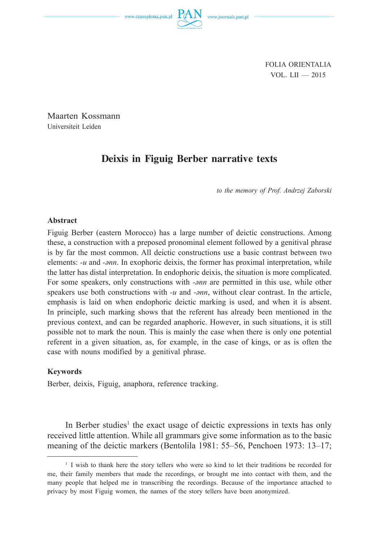FOLIA ORIENTALIA VOL. LII — 2015

Maarten Kossmann Universiteit Leiden

# **Deixis in Figuig Berber narrative texts**

*to the memory of Prof. Andrzej Zaborski*

#### **Abstract**

Figuig Berber (eastern Morocco) has a large number of deictic constructions. Among these, a construction with a preposed pronominal element followed by a genitival phrase is by far the most common. All deictic constructions use a basic contrast between two elements: *-u* and *-ənn*. In exophoric deixis, the former has proximal interpretation, while the latter has distal interpretation. In endophoric deixis, the situation is more complicated. For some speakers, only constructions with *-ənn* are permitted in this use, while other speakers use both constructions with *-u* and *-ənn*, without clear contrast. In the article, emphasis is laid on when endophoric deictic marking is used, and when it is absent. In principle, such marking shows that the referent has already been mentioned in the previous context, and can be regarded anaphoric. However, in such situations, it is still possible not to mark the noun. This is mainly the case when there is only one potential referent in a given situation, as, for example, in the case of kings, or as is often the case with nouns modified by a genitival phrase.

### **Keywords**

Berber, deixis, Figuig, anaphora, reference tracking.

In Berber studies<sup>1</sup> the exact usage of deictic expressions in texts has only received little attention. While all grammars give some information as to the basic meaning of the deictic markers (Bentolila 1981: 55–56, Penchoen 1973: 13–17;

<sup>&</sup>lt;sup>1</sup> I wish to thank here the story tellers who were so kind to let their traditions be recorded for me, their family members that made the recordings, or brought me into contact with them, and the many people that helped me in transcribing the recordings. Because of the importance attached to privacy by most Figuig women, the names of the story tellers have been anonymized.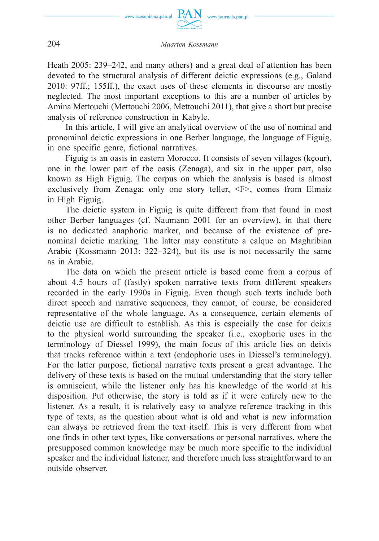

Heath 2005: 239–242, and many others) and a great deal of attention has been devoted to the structural analysis of different deictic expressions (e.g., Galand 2010: 97ff.; 155ff.), the exact uses of these elements in discourse are mostly neglected. The most important exceptions to this are a number of articles by Amina Mettouchi (Mettouchi 2006, Mettouchi 2011), that give a short but precise analysis of reference construction in Kabyle.

In this article, I will give an analytical overview of the use of nominal and pronominal deictic expressions in one Berber language, the language of Figuig, in one specific genre, fictional narratives.

Figuig is an oasis in eastern Morocco. It consists of seven villages (kçour), one in the lower part of the oasis (Zenaga), and six in the upper part, also known as High Figuig. The corpus on which the analysis is based is almost exclusively from Zenaga; only one story teller, <F>, comes from Elmaiz in High Figuig.

The deictic system in Figuig is quite different from that found in most other Berber languages (cf. Naumann 2001 for an overview), in that there is no dedicated anaphoric marker, and because of the existence of prenominal deictic marking. The latter may constitute a calque on Maghribian Arabic (Kossmann 2013: 322–324), but its use is not necessarily the same as in Arabic.

The data on which the present article is based come from a corpus of about 4.5 hours of (fastly) spoken narrative texts from different speakers recorded in the early 1990s in Figuig. Even though such texts include both direct speech and narrative sequences, they cannot, of course, be considered representative of the whole language. As a consequence, certain elements of deictic use are difficult to establish. As this is especially the case for deixis to the physical world surrounding the speaker (i.e., exophoric uses in the terminology of Diessel 1999), the main focus of this article lies on deixis that tracks reference within a text (endophoric uses in Diessel's terminology). For the latter purpose, fictional narrative texts present a great advantage. The delivery of these texts is based on the mutual understanding that the story teller is omniscient, while the listener only has his knowledge of the world at his disposition. Put otherwise, the story is told as if it were entirely new to the listener. As a result, it is relatively easy to analyze reference tracking in this type of texts, as the question about what is old and what is new information can always be retrieved from the text itself. This is very different from what one finds in other text types, like conversations or personal narratives, where the presupposed common knowledge may be much more specific to the individual speaker and the individual listener, and therefore much less straightforward to an outside observer.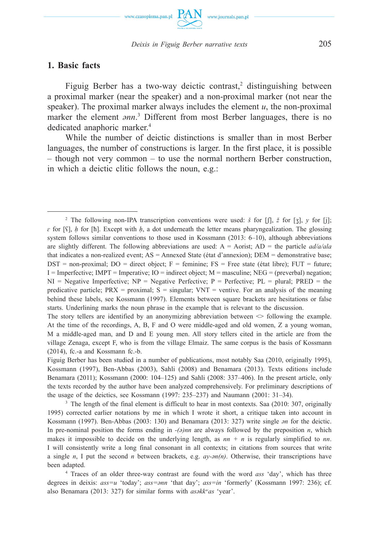

**1. Basic facts**

Figuig Berber has a two-way deictic contrast,<sup>2</sup> distinguishing between a proximal marker (near the speaker) and a non-proximal marker (not near the speaker). The proximal marker always includes the element  $u$ , the non-proximal marker the element *ənn*. 3 Different from most Berber languages, there is no dedicated anaphoric marker.<sup>4</sup>

While the number of deictic distinctions is smaller than in most Berber languages, the number of constructions is larger. In the first place, it is possible – though not very common – to use the normal northern Berber construction, in which a deictic clitic follows the noun, e.g.:

<sup>3</sup> The length of the final element is difficult to hear in most contexts. Saa (2010: 307, originally 1995) corrected earlier notations by me in which I wrote it short, a critique taken into account in Kossmann (1997). Ben-Abbas (2003: 130) and Benamara (2013: 327) write single *ən* for the deictic. In pre-nominal position the forms ending in  $-(\partial)nn$  are always followed by the preposition *n*, which makes it impossible to decide on the underlying length, as  $nn + n$  is regularly simplified to  $nn$ . I will consistently write a long final consonant in all contexts; in citations from sources that write a single *n*, I put the second *n* between brackets, e.g. *ay-ən(n)*. Otherwise, their transcriptions have been adapted.

4 Traces of an older three-way contrast are found with the word *ass* 'day', which has three degrees in deixis: *ass=u* 'today'; *ass=ənn* 'that day'; *ass=in* 'formerly' (Kossmann 1997: 236); cf. also Benamara (2013: 327) for similar forms with *asəkkwas* 'year'.

<sup>2</sup> The following non-IPA transcription conventions were used: *š* for [ʃ], *ž* for [ʒ], *y* for [j]; *ɛ* for [ʕ], *ḥ* for [ħ]. Except with *ḥ*, a dot underneath the letter means pharyngealization. The glossing system follows similar conventions to those used in Kossmann (2013: 6–10), although abbreviations are slightly different. The following abbreviations are used: A = Aorist; AD = the particle *ad/a/ala*  that indicates a non-realized event; AS = Annexed State (état d'annexion); DEM = demonstrative base;  $DST = non-proximal$ ;  $DO = direct object$ ;  $F = familiar$ ;  $FS = Free state (état libre)$ ;  $FUT = future$ ;  $I =$  Imperfective; IMPT = Imperative; IO = indirect object; M = masculine; NEG = (preverbal) negation;  $NI = Negative$  Imperfective;  $NP = Negative$  Perfective;  $P = Perfective$ ;  $PL = plural$ ;  $PRED = the$ predicative particle;  $PRX =$  proximal;  $S =$  singular;  $VNT =$  ventive. For an analysis of the meaning behind these labels, see Kossmann (1997). Elements between square brackets are hesitations or false starts. Underlining marks the noun phrase in the example that is relevant to the discussion.

The story tellers are identified by an anonymizing abbreviation between  $\Diamond$  following the example. At the time of the recordings, A, B, F and O were middle-aged and old women, Z a young woman, M a middle-aged man, and D and E young men. All story tellers cited in the article are from the village Zenaga, except F, who is from the village Elmaiz. The same corpus is the basis of Kossmann (2014), fc.-a and Kossmann fc.-b.

Figuig Berber has been studied in a number of publications, most notably Saa (2010, originally 1995), Kossmann (1997), Ben-Abbas (2003), Sahli (2008) and Benamara (2013). Texts editions include Benamara (2011); Kossmann (2000: 104–125) and Sahli (2008: 337–406). In the present article, only the texts recorded by the author have been analyzed comprehensively. For preliminary descriptions of the usage of the deictics, see Kossmann (1997: 235–237) and Naumann (2001: 31–34).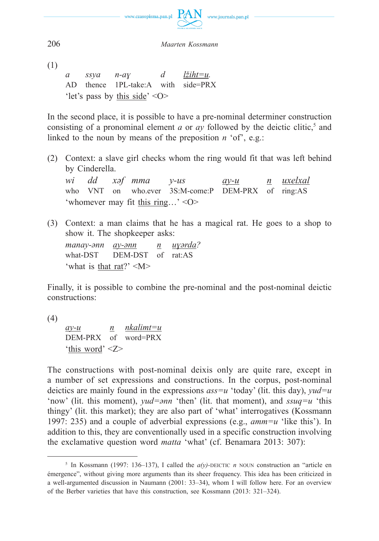

(1)

*a ssya n-aɣ d lžiht=u.* AD thence 1PL-take:A with side=PRX 'let's pass by this side' <O>

In the second place, it is possible to have a pre-nominal determiner construction consisting of a pronominal element *a* or *ay* followed by the deictic clitic,<sup>5</sup> and linked to the noun by means of the preposition *n* 'of', e.g.:

(2) Context: a slave girl checks whom the ring would fit that was left behind by Cinderella.

*wi dd xəf mma y-us ay-u n uxelxal* who VNT on who.ever 3S:M-come:P DEM-PRX of ring:AS 'whomever may fit this ring…' <O>

(3) Context: a man claims that he has a magical rat. He goes to a shop to show it. The shopkeeper asks:

*manay-ənn ay-ənn n uɣərda?* what-DST DEM-DST of rat:AS 'what is that rat?' <M>

Finally, it is possible to combine the pre-nominal and the post-nominal deictic constructions:

(4)

*ay-u n nkalimt=u* DEM-PRX of word=PRX 'this word' <Z>

The constructions with post-nominal deixis only are quite rare, except in a number of set expressions and constructions. In the corpus, post-nominal deictics are mainly found in the expressions *ass=u* 'today' (lit. this day), *yud=u*  'now' (lit. this moment), *yud=ənn* 'then' (lit. that moment), and *ssuq=u* 'this thingy' (lit. this market); they are also part of 'what' interrogatives (Kossmann 1997: 235) and a couple of adverbial expressions (e.g., *amm=u* 'like this'). In addition to this, they are conventionally used in a specific construction involving the exclamative question word *matta* 'what' (cf. Benamara 2013: 307):

<sup>&</sup>lt;sup>5</sup> In Kossmann (1997: 136–137), I called the  $a(y)$ -DEICTIC *n* NOUN construction an "article en émergence", without giving more arguments than its sheer frequency. This idea has been criticized in a well-argumented discussion in Naumann (2001: 33–34), whom I will follow here. For an overview of the Berber varieties that have this construction, see Kossmann (2013: 321–324).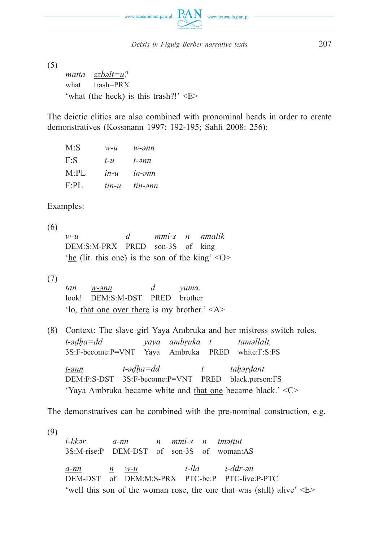

(5)

*matta zzbəlt=u?* what trash=PRX 'what (the heck) is this trash?!'  $\leq E$ 

The deictic clitics are also combined with pronominal heads in order to create demonstratives (Kossmann 1997: 192-195; Sahli 2008: 256):

| M: S  | $W$ - $U$ | w-ənn           |
|-------|-----------|-----------------|
| $F-S$ | $t - u$   | t-ənn           |
| M:PL  | $in-u$    | $in\text{-}3nn$ |
| F:PI  | tin-u     | tin-ənn         |

Examples:

(6) *w-u d mmi-s n nmalik* DEM:S:M-PRX PRED son-3S of king 'he (lit. this one) is the son of the king'  $\langle 0 \rangle$ 

(7)

*tan w-ənn d yuma.* look! DEM:S:M-DST PRED brother 'lo, that one over there is my brother.' <A>

(8) Context: The slave girl Yaya Ambruka and her mistress switch roles. *t-əḍḥa=dd yaya ambṛuka t taməllalt,* 3S:F-become:P=VNT Yaya Ambruka PRED white:F:S:FS

*t-ənn t-əḍḥa=dd t taḥəṛḍant.* DEM:F:S-DST 3S:F-become:P=VNT PRED black.person:FS 'Yaya Ambruka became white and that one became black.' <C>

The demonstratives can be combined with the pre-nominal construction, e.g.

(9) *i-kkər a-nn n mmi-s n tməṭṭut* 3S:M-rise:P DEM-DST of son-3S of woman:AS *a-nn n w-u i-lla i-ddr-ən* DEM-DST of DEM:M:S-PRX PTC-be:P PTC-live:P-PTC 'well this son of the woman rose, the one that was (still) alive  $E$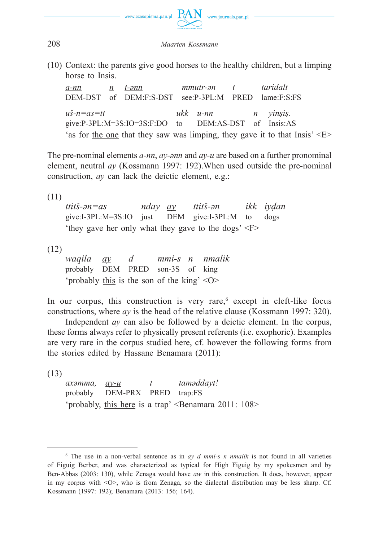

(10) Context: the parents give good horses to the healthy children, but a limping horse to Insis.

*a-nn n t-ənn mmutr-ən t taridalt* DEM-DST of DEM:F:S-DST see:P-3PL:M PRED lame:F:S:FS  $u\ddot{s}-n=as=tt$   $ukk$   $u-nn$  *n vinsis.* give:P-3PL:M=3S:IO=3S:F:DO to DEM:AS-DST of Insis:AS 'as for the one that they saw was limping, they gave it to that  $\text{Insis'} \leq E$ 

The pre-nominal elements *a-nn*, *ay-ənn* and *ay-u* are based on a further pronominal element, neutral *ay* (Kossmann 1997: 192).When used outside the pre-nominal construction, *ay* can lack the deictic element, e.g.:

(11)

*ttitš-ən=as nday ay ttitš-ən ikk iyḍan* give:I-3PL:M=3S:IO just DEM give:I-3PL:M to dogs 'they gave her only what they gave to the dogs' <F>

(12)

*waqila ay d mmi-s n nmalik* probably DEM PRED son-3S of king 'probably this is the son of the king' <O>

In our corpus, this construction is very rare,<sup>6</sup> except in cleft-like focus constructions, where *ay* is the head of the relative clause (Kossmann 1997: 320).

Independent *ay* can also be followed by a deictic element. In the corpus, these forms always refer to physically present referents (i.e. exophoric). Examples are very rare in the corpus studied here, cf. however the following forms from the stories edited by Hassane Benamara (2011):

(13)

*axəmma, ay-u t taməddayt!* probably DEM-PRX PRED trap:FS 'probably, this here is a trap' <Benamara 2011: 108>

 $6$  The use in a non-verbal sentence as in *ay d mmi-s n nmalik* is not found in all varieties of Figuig Berber, and was characterized as typical for High Figuig by my spokesmen and by Ben-Abbas (2003: 130), while Zenaga would have *aw* in this construction. It does, however, appear in my corpus with <O>, who is from Zenaga, so the dialectal distribution may be less sharp. Cf. Kossmann (1997: 192); Benamara (2013: 156; 164).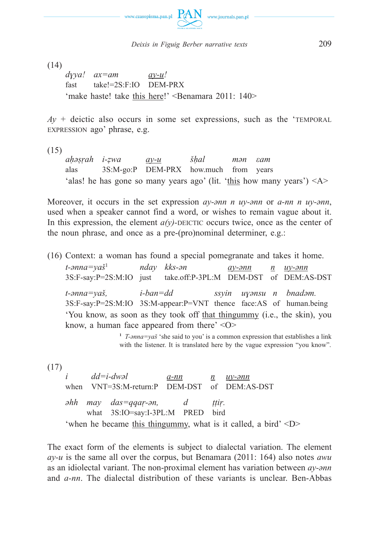

(14)

*dɣya! ax=am ay-u!* fast take!=2S:F:IO DEM-PRX 'make haste! take this here!' <Benamara 2011: 140>

 $Ay +$  deictic also occurs in some set expressions, such as the 'TEMPORAL EXPRESSION ago' phrase, e.g.

(15)

*aḥəṣṛah i-ẓwa ay-u šḥal mən εam* alas 3S:M-go:P DEM-PRX how.much from years 'alas! he has gone so many years ago' (lit. 'this how many years')  $\langle A \rangle$ 

Moreover, it occurs in the set expression *ay-ənn n uy-ənn* or *a-nn n uy-ənn*, used when a speaker cannot find a word, or wishes to remain vague about it. In this expression, the element  $a(v)$ -DEICTIC occurs twice, once as the center of the noun phrase, and once as a pre-(pro)nominal determiner, e.g.:

(16) Context: a woman has found a special pomegranate and takes it home.

*t-ənna=yaš*<sup>1</sup> *nday kks-ən ay-ənn n uy-ənn* 3S:F-say:P=2S:M:IO just take.off:P-3PL:M DEM-DST of DEM:AS-DST *t-ənna=yaš, i-ban=dd ssyin uɣənsu n bnadəm.* 3S:F-say:P=2S:M:IO 3S:M-appear:P=VNT thence face:AS of human.being 'You know, as soon as they took off that thingummy (i.e., the skin), you know, a human face appeared from there' <O>

**<sup>1</sup>** *T-ənna=yaš* 'she said to you' is a common expression that establishes a link with the listener. It is translated here by the vague expression "you know".

(17)

*i dd=i-dwəl a-nn n uy-ənn* when VNT=3S:M-return:P DEM-DST of DEM:AS-DST *əhh may das=qqaṛ-ən, d ṭṭiṛ.* what 3S:IO=say:I-3PL:M PRED bird 'when he became this thingummy, what is it called, a bird' <D>

The exact form of the elements is subject to dialectal variation. The element *ay-u* is the same all over the corpus, but Benamara (2011: 164) also notes *awu*  as an idiolectal variant. The non-proximal element has variation between *ay-ənn*  and *a-nn*. The dialectal distribution of these variants is unclear. Ben-Abbas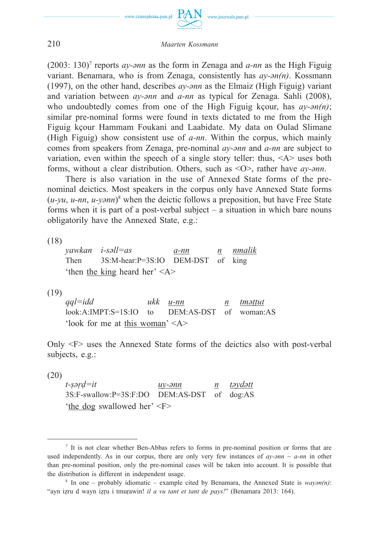

(2003: 130)7 reports *ay-ənn* as the form in Zenaga and *a-nn* as the High Figuig variant. Benamara, who is from Zenaga, consistently has *ay-ən(n)*. Kossmann (1997), on the other hand, describes *ay-ənn* as the Elmaiz (High Figuig) variant and variation between *ay-ənn* and *a-nn* as typical for Zenaga. Sahli (2008), who undoubtedly comes from one of the High Figuig kçour, has *ay-ən(n)*; similar pre-nominal forms were found in texts dictated to me from the High Figuig kçour Hammam Foukani and Laabidate. My data on Oulad Slimane (High Figuig) show consistent use of *a-nn*. Within the corpus, which mainly comes from speakers from Zenaga, pre-nominal *ay-ənn* and *a-nn* are subject to variation, even within the speech of a single story teller: thus,  $\langle A \rangle$  uses both forms, without a clear distribution. Others, such as <O>, rather have *ay-ənn*.

There is also variation in the use of Annexed State forms of the prenominal deictics. Most speakers in the corpus only have Annexed State forms (*u-yu*, *u-nn*, *u-yənn*) 8 when the deictic follows a preposition, but have Free State forms when it is part of a post-verbal subject – a situation in which bare nouns obligatorily have the Annexed State, e.g.:

(18)

*yawkan i-səll=as a-nn n nmalik* Then 3S:M-hear:P=3S:IO DEM-DST of king 'then the king heard her'  $\langle A \rangle$ 

(19)

*qql=idd ukk u-nn n tməṭṭut* look:A:IMPT:S=1S:IO to DEM:AS-DST of woman:AS 'look for me at this woman' <A>

Only <F> uses the Annexed State forms of the deictics also with post-verbal subjects, e.g.:

(20)

*t-ṣəṛḍ=it uy-ənn n təydətt* 3S:F-swallow:P=3S:F:DO DEM:AS-DST of dog:AS 'the dog swallowed her' <F>

<sup>7</sup> It is not clear whether Ben-Abbas refers to forms in pre-nominal position or forms that are used independently. As in our corpus, there are only very few instances of  $ay\text{-}ann \sim a\text{-}nn$  in other than pre-nominal position, only the pre-nominal cases will be taken into account. It is possible that the distribution is different in independent usage.

<sup>8</sup> In one – probably idiomatic – example cited by Benamara, the Annexed State is *wayən(n)*: "ayn iẓru d wayn iẓṛu i tmuṛawin! *il a vu tant et tant de pays!*" (Benamara 2013: 164).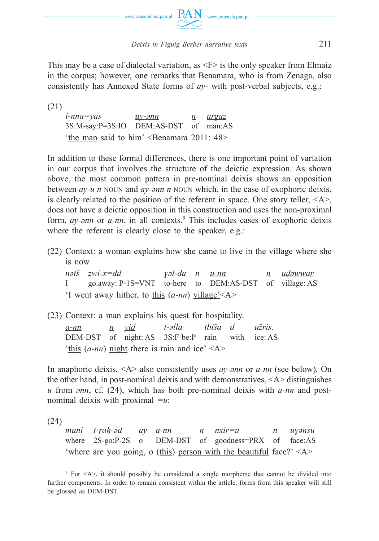

This may be a case of dialectal variation, as  $\leq F$  is the only speaker from Elmaiz in the corpus; however, one remarks that Benamara, who is from Zenaga, also consistently has Annexed State forms of *ay-* with post-verbal subjects, e.g.:

(21)

*i-nna=yas uy-ənn n urgaz* 3S:M-say:P=3S:IO DEM:AS-DST of man:AS 'the man said to him' <Benamara 2011: 48>

In addition to these formal differences, there is one important point of variation in our corpus that involves the structure of the deictic expression. As shown above, the most common pattern in pre-nominal deixis shows an opposition between *ay-u n* NOUN and *ay-ənn n* NOUN which, in the case of exophoric deixis, is clearly related to the position of the referent in space. One story teller,  $\langle A \rangle$ , does not have a deictic opposition in this construction and uses the non-proximal form, *ay-ənn* or *a-nn*, in all contexts.<sup>9</sup> This includes cases of exophoric deixis where the referent is clearly close to the speaker, e.g.:

(22) Context: a woman explains how she came to live in the village where she is now.

*nətš ẓwi-x=dd ɣəl-da n u-nn n uḍəwwaṛ* I go.away: P-1S=VNT to-here to DEM:AS-DST of village: AS 'I went away hither, to this (*a-nn*) village'<A>

(23) Context: a man explains his quest for hospitality. *a-nn n yiḍ t-əlla tbiša d užris.* DEM-DST of night: AS 3S:F-be:P rain with ice: AS 'this  $(a-m)$  night there is rain and ice'  $\langle A \rangle$ 

In anaphoric deixis, <A> also consistently uses *ay-ənn* or *a-nn* (see below)*.* On the other hand, in post-nominal deixis and with demonstratives,  $\langle A \rangle$  distinguishes *u* from *ənn*, cf. (24), which has both pre-nominal deixis with *a-nn* and postnominal deixis with proximal *=u*:

(24)

*mani t-ṛaḥ-əd ay a-nn n nxir=u n uɣənsu* where 2S-go:P-2S o DEM-DST of goodness=PRX of face:AS 'where are you going, o (this) person with the beautiful face?'  $\langle A \rangle$ 

<sup>9</sup> For <A>, it should possibly be considered a single morpheme that cannot be divided into further components. In order to remain consistent within the article, forms from this speaker will still be glossed as DEM-DST.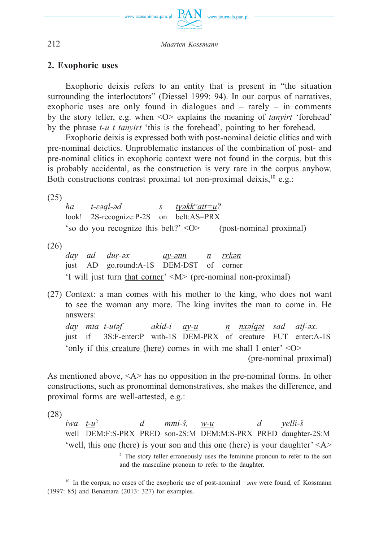

# **2. Exophoric uses**

Exophoric deixis refers to an entity that is present in "the situation surrounding the interlocutors" (Diessel 1999: 94). In our corpus of narratives, exophoric uses are only found in dialogues and – rarely – in comments by the story teller, e.g. when <O> explains the meaning of *tanyirt* 'forehead' by the phrase *t-u t tanyirt* 'this is the forehead', pointing to her forehead.

Exophoric deixis is expressed both with post-nominal deictic clitics and with pre-nominal deictics. Unproblematic instances of the combination of post- and pre-nominal clitics in exophoric context were not found in the corpus, but this is probably accidental, as the construction is very rare in the corpus anyhow. Both constructions contrast proximal tot non-proximal deixis,  $10$  e.g.:

(25)

*ha t-ɛəql-əd s tɣəkkwatt=u?* look! 2S-recognize:P-2S on belt:AS=PRX 'so do you recognize this belt?' <O> (post-nominal proximal)

(26)

*day ad ḍuṛ-əx ay-ənn n rrkən* just AD go.round:A-1S DEM-DST of corner 'I will just turn that corner' <M> (pre-nominal non-proximal)

(27) Context: a man comes with his mother to the king, who does not want to see the woman any more. The king invites the man to come in. He answers:

*day mta t-utəf akid-i ay-u n nxəlqət sad atf-əx.* just if 3S:F-enter:P with-1S DEM-PRX of creature FUT enter:A-1S 'only if this creature (here) comes in with me shall I enter' <O> (pre-nominal proximal)

As mentioned above, <A> has no opposition in the pre-nominal forms. In other constructions, such as pronominal demonstratives, she makes the difference, and proximal forms are well-attested, e.g.:

(28)

*iwa t-u*<sup>2</sup> *d mmi-š, w-u d yelli-š* well DEM:F:S-PRX PRED son-2S:M DEM:M:S-PRX PRED daughter-2S:M 'well, this one (here) is your son and this one (here) is your daughter' <A > <sup>2</sup> The story teller erroneously uses the feminine pronoun to refer to the son and the masculine pronoun to refer to the daughter.

<sup>&</sup>lt;sup>10</sup> In the corpus, no cases of the exophoric use of post-nominal *=ənn* were found, cf. Kossmann (1997: 85) and Benamara (2013: 327) for examples.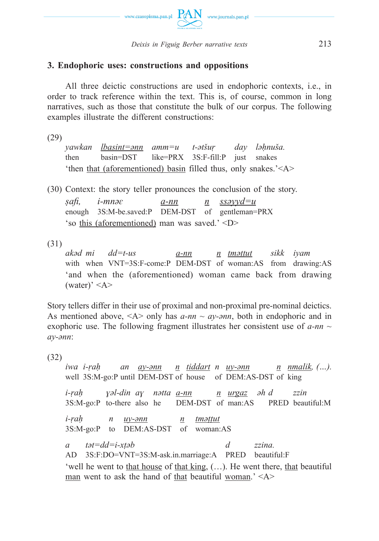

# **3. Endophoric uses: constructions and oppositions**

All three deictic constructions are used in endophoric contexts, i.e., in order to track reference within the text. This is, of course, common in long narratives, such as those that constitute the bulk of our corpus. The following examples illustrate the different constructions:

(29)

*yawkan lbasint=ənn amm=u t-ətšuṛ day ləḥnuša.* then basin=DST like=PRX 3S:F-fill:P just snakes 'then that (aforementioned) basin filled thus, only snakes.'<A>

(30) Context: the story teller pronounces the conclusion of the story. *ṣafi , i-mnəɛ a-nn n ssəyyd=u*

enough 3S:M-be.saved:P DEM-DST of gentleman=PRX 'so this (aforementioned) man was saved.' <D>

 $(31)$ <br>akəd mi *akəd mi dd=t-us a-nn n tməṭṭut sikk iyam* with when VNT=3S:F-come:P DEM-DST of woman:AS from drawing:AS 'and when the (aforementioned) woman came back from drawing (water)'  $\langle A \rangle$ 

Story tellers differ in their use of proximal and non-proximal pre-nominal deictics. As mentioned above,  $\langle A \rangle$  only has  $a$ -nn  $\sim a$ y- $\partial$ nn, both in endophoric and in exophoric use. The following fragment illustrates her consistent use of *a-nn ~ ay-ənn*:

(32)

*iwa i-ṛaḥ an ay-ənn n tiddart n uy-ənn n nmalik, (…).* well 3S:M-go:P until DEM-DST of house of DEM:AS-DST of king *i-ṛaḥ ɣəl-din aɣ nətta a-nn n urgaz əh d zzin* 3S:M-go:P to-there also he DEM-DST of man:AS PRED beautiful:M *i-ṛaḥ n uy-ənn n tməṭṭut* 3S:M-go:P to DEM:AS-DST of woman:AS *a tət=dd=i-xṭəb d zzina.* AD 3S:F:DO=VNT=3S:M-ask.in.marriage:A PRED beautiful:F 'well he went to that house of that king, (…). He went there, that beautiful man went to ask the hand of that beautiful woman.' <A>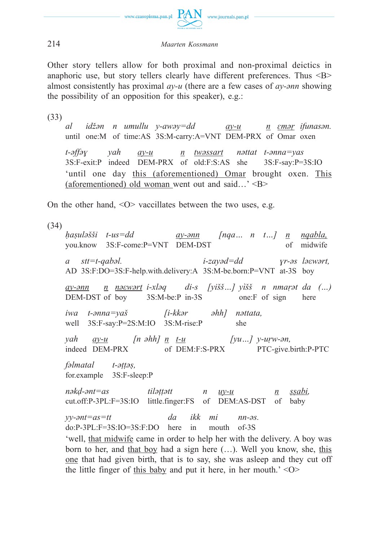

Other story tellers allow for both proximal and non-proximal deictics in anaphoric use, but story tellers clearly have different preferences. Thus <B> almost consistently has proximal *ay-u* (there are a few cases of *ay-ənn* showing the possibility of an opposition for this speaker), e.g.:

(33)

*al idžən n umullu y-awəy=dd ay-u n ɛməṛ ifunasən.* until one:M of time:AS 3S:M-carry:A=VNT DEM-PRX of Omar oxen

*t-əffəɣ yah ay-u n twəssart nəttat t-ənna=yas* 3S:F-exit:P indeed DEM-PRX of old:F:S:AS she 3S:F-say:P=3S:IO 'until one day this (aforementioned) Omar brought oxen. This (aforementioned) old woman went out and said...'  $\langle B \rangle$ 

On the other hand,  $\langle$ O $\rangle$  vaccillates between the two uses, e.g.

(34)

*ḥaṣuləšši t-us=dd ay-ənn [nqa… n t…] n nqabla,* you.know 3S:F-come:P=VNT DEM-DST of midwife *a stt=t-qabəl. i-zayəd=dd ɣr-əs ləεwərt,* AD 3S:F:DO=3S:F-help.with.delivery:A 3S:M-be.born:P=VNT at-3S boy *ay-ənn n nəεwərt i-xləq di-s [yišš…] yìšš n nmaṛət da (…)* DEM-DST of boy 3S:M-be:P in-3S one:F of sign here *iwa t-ənna=yaš [i-kkər əhh] nəttata,* well 3S:F-say:P=2S:M:IO 3S:M-rise:P she *yah ay-u [n əhh] n t-u [yu…] y-uṛw-ən,* indeed DEM-PRX of DEM:F:S-PRX PTC-give.birth:P-PTC *fəlmatal t-əṭṭəṣ,* for.example 3S:F-sleep:P *nəkḍ-ənt=as tiləṭṭətt n uy-u n ṣṣabi,* cut.off:P-3PL:F=3S:IO little.finger:FS of DEM:AS-DST of baby *yy-ənt=as=tt da ikk mi nn-əs.* do:P-3PL:F=3S:IO=3S:F:DO here in mouth of-3S 'well, that midwife came in order to help her with the delivery. A boy was born to her, and that boy had a sign here (…). Well you know, she, this one that had given birth, that is to say, she was asleep and they cut off

the little finger of this baby and put it here, in her mouth.'  $\langle$ O $>$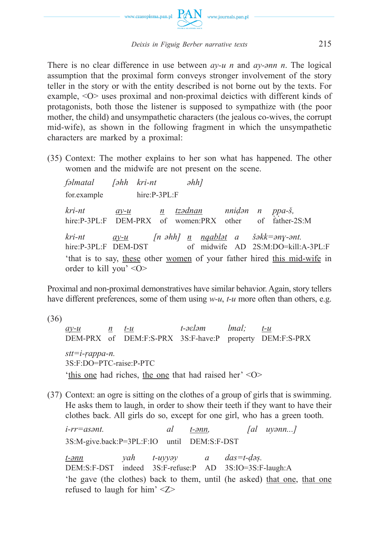

There is no clear difference in use between *ay-u n* and *ay-ənn n*. The logical assumption that the proximal form conveys stronger involvement of the story teller in the story or with the entity described is not borne out by the texts. For example, <O> uses proximal and non-proximal deictics with different kinds of protagonists, both those the listener is supposed to sympathize with (the poor mother, the child) and unsympathetic characters (the jealous co-wives, the corrupt mid-wife), as shown in the following fragment in which the unsympathetic characters are marked by a proximal:

(35) Context: The mother explains to her son what has happened. The other women and the midwife are not present on the scene.

*fəlmatal [əhh kri-nt əhh]* for.example hire:P-3PL:F *kri-nt ay-u n tzədnan nniḍənn pp̣ a-š, ̣* hire:P-3PL:F DEM-PRX of women:PRX other of father-2S:M *kri-nt ay-u [n əhh] n nqabləta šəkk=ənɣ-ənt.* hire:P-3PL:F DEM-DST of midwife AD 2S:M:DO=kill:A-3PL:F 'that is to say, these other women of your father hired this mid-wife in order to kill you' <O>

Proximal and non-proximal demonstratives have similar behavior. Again, story tellers have different preferences, some of them using  $w-u$ ,  $t-u$  more often than others, e.g.

- (36) *ay-u n t-u t-əεləm lmal; t-u* DEM-PRX of DEM:F:S-PRX 3S:F-have:P property DEM:F:S-PRX *stt=i-ṛappa-n.* 3S:F:DO=PTC-raise:P-PTC 'this one had riches, the one that had raised her' <O>
- (37) Context: an ogre is sitting on the clothes of a group of girls that is swimming. He asks them to laugh, in order to show their teeth if they want to have their clothes back. All girls do so, except for one girl, who has a green tooth.

*i-rr=asənt. al t-ənn, [al uyənn...]* 3S:M-give.back:P=3PL:F:IO until DEM:S:F-DST *t-ənn yah t-uyyəy a das=t-ḍəṣ.* DEM:S:F-DST indeed 3S:F-refuse:P AD 3S:IO=3S:F-laugh:A 'he gave (the clothes) back to them, until (he asked) that one, that one refused to laugh for him' <Z>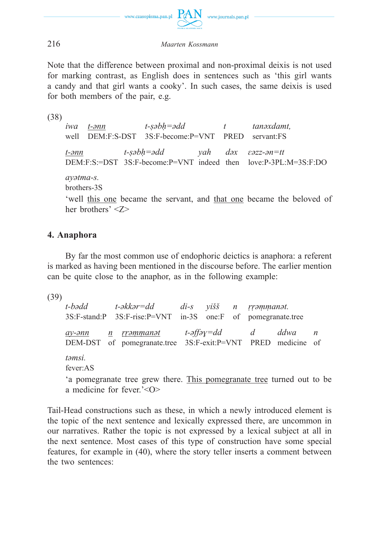

Note that the difference between proximal and non-proximal deixis is not used for marking contrast, as English does in sentences such as 'this girl wants a candy and that girl wants a cooky'. In such cases, the same deixis is used for both members of the pair, e.g.

(38)

*iwa t-ənn t-ṣəbḥ=ədd t tanəxdamt,* well DEM:F:S-DST 3S:F-become:P=VNT PRED servant:FS *t-ənn t-ṣəbḥ=ədd yah dəx ɛəzz-ən=tt* DEM:F:S:=DST 3S:F-become:P=VNT indeed then love:P-3PL:M=3S:F:DO *ayətma-s.* brothers-3S 'well this one became the servant, and that one became the beloved of

## **4. Anaphora**

her brothers' <Z>

By far the most common use of endophoric deictics is anaphora: a referent is marked as having been mentioned in the discourse before. The earlier mention can be quite close to the anaphor, as in the following example:

(39)

*t-bədd t-əkkər=dd di-s yišš n ṛṛəṃṃanət.* 3S:F-stand:P 3S:F-rise:P=VNT in-3S one:F of pomegranate.tree *ay-ənn n ṛṛəṃṃanət t-əffəɣ=dd d ddwa n* DEM-DST of pomegranate.tree 3S:F-exit:P=VNT PRED medicine of *təmsi.* fever:AS 'a pomegranate tree grew there. This pomegranate tree turned out to be a medicine for fever.'<O>

Tail-Head constructions such as these, in which a newly introduced element is the topic of the next sentence and lexically expressed there, are uncommon in our narratives. Rather the topic is not expressed by a lexical subject at all in the next sentence. Most cases of this type of construction have some special features, for example in (40), where the story teller inserts a comment between the two sentences: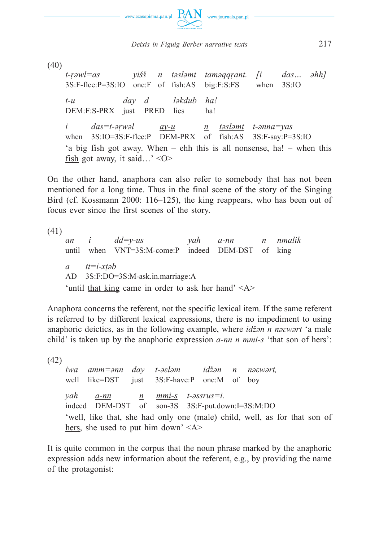

(40)

*t-ṛəwl=as yišš n təsləmt taməqqṛant. [i das… əhh]* 3S:F-flee:P=3S:IO one:F of fish:AS big:F:S:FS when 3S:IO *t-u day d ləkdub ha!* DEM:F:S-PRX just PRED lies ha! *i das=t-əṛwəl ay-u n təsləmt t-ənna=yas* when 3S:IO=3S:F-flee:P DEM-PRX of fish:AS 3S:F-say:P=3S:IO 'a big fish got away. When – ehh this is all nonsense, ha! – when this fish got away, it said…'  $\langle$ O>

On the other hand, anaphora can also refer to somebody that has not been mentioned for a long time. Thus in the final scene of the story of the Singing Bird (cf. Kossmann 2000: 116–125), the king reappears, who has been out of focus ever since the first scenes of the story.

(41)

*an i dd=y-us yah a-nn n nmalik* until when VNT=3S:M-come:P indeed DEM-DST of king *a tt=i-xṭəb* AD 3S:F:DO=3S:M-ask.in.marriage:A 'until that king came in order to ask her hand' <A>

Anaphora concerns the referent, not the specific lexical item. If the same referent is referred to by different lexical expressions, there is no impediment to using anaphoric deictics, as in the following example, where *idžən n nəɛwərt* 'a male child' is taken up by the anaphoric expression *a-nn n mmi-s* 'that son of hers':

(42)

*iwa amm=ənn day t-əεləm idžənnnəεwərt,* well like=DST just 3S:F-have:P one:M of boy *yah a-nn n mmi-s t-əssrus=i.* indeed DEM-DST of son-3S 3S:F-put.down:I=3S:M:DO 'well, like that, she had only one (male) child, well, as for that son of hers, she used to put him down'  $\langle A \rangle$ 

It is quite common in the corpus that the noun phrase marked by the anaphoric expression adds new information about the referent, e.g., by providing the name of the protagonist: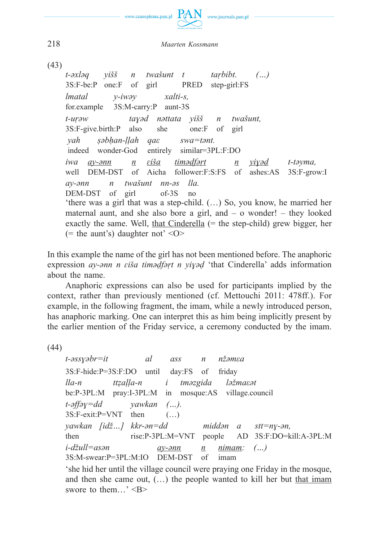

(43)

*t-əxləq yišš n twašunt t taṛbibt. (…)* 3S:F-be:P one:F of girl PRED step-girl:FS *lmatal y-iwəy xalti-s,* for.example 3S:M-carry:P aunt-3S *t-uṛəw taɣəd nəttata yišš n twašunt,* 3S:F-give.birth:P also she one:F of girl *yah ṣəbḥan-ḷḷah qaε swa=tənt.* indeed wonder-God entirely similar=3PL:F:DO *iwa ay-ənn n ɛiša timəḍfəṛt n yiɣəḍ t-təyma,* well DEM-DST of Aicha follower:F:S:FS of ashes:AS 3S:F-grow:I *ay-ənn n twašunt nn-əs lla.* DEM-DST of girl of-3S no 'there was a girl that was a step-child. (…) So, you know, he married her maternal aunt, and she also bore a girl, and – o wonder! – they looked exactly the same. Well, that Cinderella  $(=$  the step-child) grew bigger, her (= the aunt's) daughter not'  $\langle$ O>

In this example the name of the girl has not been mentioned before. The anaphoric expression *ay-ənn n ɛiša timəḍfəṛt n yiɣəḍ* 'that Cinderella' adds information about the name.

Anaphoric expressions can also be used for participants implied by the context, rather than previously mentioned (cf. Mettouchi 2011: 478ff.). For example, in the following fragment, the imam, while a newly introduced person, has anaphoric marking. One can interpret this as him being implicitly present by the earlier mention of the Friday service, a ceremony conducted by the imam.

(44)

*t-əssɣəbr=it al ass n nžəmεa* 3S:F-hide:P=3S:F:DO until day:FS of friday *lla-n ttẓaḷḷa-n i tməzgida ləžmaεət* be:P-3PL:M pray:I-3PL:M in mosque:AS village.council *t-əffəɣ=dd yawkan (…).*  $3S:Fe\,xit:Pe=VNT$  then  $(\dots)$ *yawkan [idž…] kkr-ən=dd middən a stt=nɣ-ən,* then rise:P-3PL:M=VNT people AD 3S:F:DO=kill:A-3PL:M *i-džull=asən ay-ənn n nimam: (…)* 3S:M-swear:P=3PL:M:IO DEM-DST of imam

 'she hid her until the village council were praying one Friday in the mosque, and then she came out,  $(...)$  the people wanted to kill her but that imam swore to them...' <B>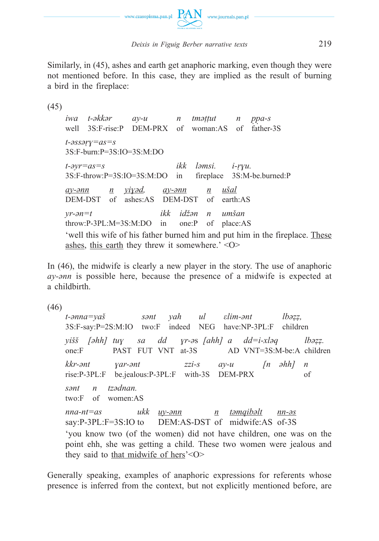

Similarly, in (45), ashes and earth get anaphoric marking, even though they were not mentioned before. In this case, they are implied as the result of burning a bird in the fireplace:

(45)

*iwa t-əkkər ay-u n tməṭṭut n pp̣ a-s ̣* well 3S:F-rise:P DEM-PRX of woman:AS of father-3S *t-əssəṛɣ=as=s* 3S:F-burn:P=3S:IO=3S:M:DO *t-əyr=as=s ikk ləmsi. i-ṛɣu.* 3S:F-throw:P=3S:IO=3S:M:DO in fireplace 3S:M-be.burned:P *ay-ənn n yiɣəd, ay-ənn n ušal* DEM-DST of ashes:AS DEM-DST of earth:AS *yr-ən=t ikk idžən n umšan* throw:P-3PL:M=3S:M:DO in one:P of place:AS 'well this wife of his father burned him and put him in the fireplace. These ashes, this earth they threw it somewhere.' <O>

In (46), the midwife is clearly a new player in the story. The use of anaphoric *ay-ənn* is possible here, because the presence of a midwife is expected at a childbirth.

(46)

*t-ənna=yaš sənt yah ul εlim-ənt lbəẓẓ,* 3S:F-say:P=2S:M:IO two:F indeed NEG have:NP-3PL:F children *yišš [əhh] tuɣ sa dd ɣr-ə*s *[ahh] a dd=i-xləq lbəẓẓ.* one:F PAST FUT VNT at-3S AD VNT=3S:M-be:A children *kkr-ənt ɣar-ənt zzi-s ay-u [n əhh] n* rise:P-3PL:F be.jealous:P-3PL:F with-3S DEM-PRX of *sənt n tzədnan.* two:F of women:AS *nna-nt=as ukk uy-ənn n təmqibəlt nn-əs* say:P-3PL:F=3S:IO to DEM:AS-DST of midwife:AS of-3S 'you know two (of the women) did not have children, one was on the point ehh, she was getting a child. These two women were jealous and they said to that midwife of hers'<O>

Generally speaking, examples of anaphoric expressions for referents whose presence is inferred from the context, but not explicitly mentioned before, are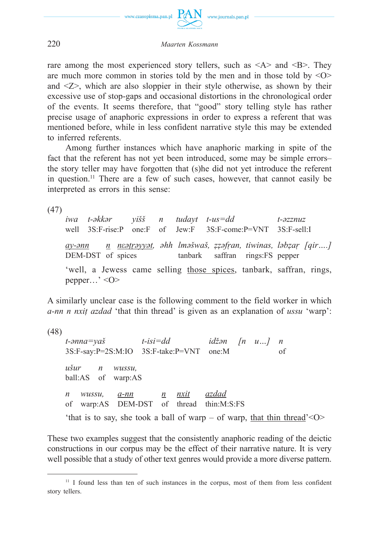

rare among the most experienced story tellers, such as  $\langle A \rangle$  and  $\langle B \rangle$ . They are much more common in stories told by the men and in those told by  $\langle \circ \circ \rangle$ and <Z>, which are also sloppier in their style otherwise, as shown by their excessive use of stop-gaps and occasional distortions in the chronological order of the events. It seems therefore, that "good" story telling style has rather precise usage of anaphoric expressions in order to express a referent that was mentioned before, while in less confident narrative style this may be extended to inferred referents.

Among further instances which have anaphoric marking in spite of the fact that the referent has not yet been introduced, some may be simple errors– the story teller may have forgotten that (s)he did not yet introduce the referent in question.11 There are a few of such cases, however, that cannot easily be interpreted as errors in this sense:

(47)

*iwa t-əkkər yišš n tudayt t-us=dd t-əzznuz* well 3S:F-rise:P one:F of Jew:F 3S:F-come:P=VNT 3S:F-sell:I ay-ann — n neatrayyat, ahh lmašwaš, zzafran, tiwinas, labzar [qir....] DEM-DST of spices tanbark saffran rings:FS pepper 'well, a Jewess came selling those spices, tanbark, saffran, rings, pepper…' <O>

A similarly unclear case is the following comment to the field worker in which *a-nn n nxiṭ azdad* 'that thin thread' is given as an explanation of *ussu* 'warp':

(48) *t-ənna=yaš t-isi=dd idžən [n u…] n* 3S:F-say:P=2S:M:IO 3S:F-take:P=VNT one:M of *ušur n wussu,* ball:AS of warp:AS *n wussu, a-nn n nxiṭ azdad* of warp:AS DEM-DST of thread thin:M:S:FS 'that is to say, she took a ball of warp – of warp, that thin thread'  $\leq$  O  $>$ 

These two examples suggest that the consistently anaphoric reading of the deictic constructions in our corpus may be the effect of their narrative nature. It is very well possible that a study of other text genres would provide a more diverse pattern.

<sup>&</sup>lt;sup>11</sup> I found less than ten of such instances in the corpus, most of them from less confident story tellers.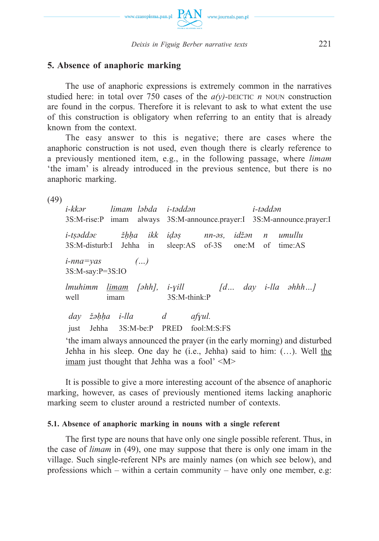

## **5. Absence of anaphoric marking**

The use of anaphoric expressions is extremely common in the narratives studied here: in total over 750 cases of the  $a(v)$ -DEICTIC *n* NOUN construction are found in the corpus. Therefore it is relevant to ask to what extent the use of this construction is obligatory when referring to an entity that is already known from the context.

The easy answer to this is negative; there are cases where the anaphoric construction is not used, even though there is clearly reference to a previously mentioned item, e.g., in the following passage, where *limam*  'the imam' is already introduced in the previous sentence, but there is no anaphoric marking.

(49)

*i-kkər limam ləbda i-təddən i-təddən* 3S:M-rise:P imam always 3S:M-announce.prayer:I 3S:M-announce.prayer:I *i-tṣəddəɛ žḥḥa ikk iḍəṣ nn-əs, idžən n umullu* 3S:M-disturb:I Jehha in sleep:AS of-3S one:M of time:AS *i-nna=yas (…)* 3S:M-say:P=3S:IO *lmuhimm limam [əhh], i-ɣill [d… day i-lla əhhh…]* well imam 3S:M-think:P *day žəḥḥa i-lla d afɣul.* just Jehha 3S:M-be:P PRED fool:M:S:FS 'the imam always announced the prayer (in the early morning) and disturbed Jehha in his sleep. One day he (i.e., Jehha) said to him: (…). Well the imam just thought that Jehha was a fool' <M>

It is possible to give a more interesting account of the absence of anaphoric marking, however, as cases of previously mentioned items lacking anaphoric marking seem to cluster around a restricted number of contexts.

#### **5.1. Absence of anaphoric marking in nouns with a single referent**

The first type are nouns that have only one single possible referent. Thus, in the case of *limam* in (49), one may suppose that there is only one imam in the village. Such single-referent NPs are mainly names (on which see below), and professions which – within a certain community – have only one member, e.g: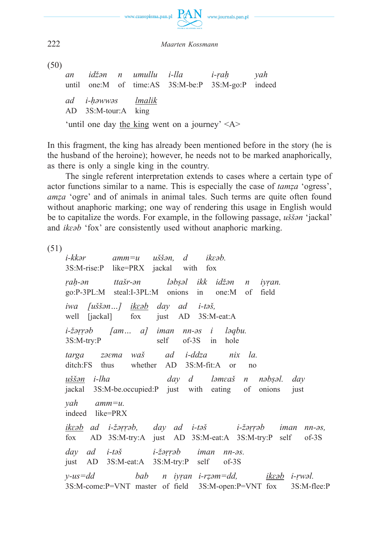

(50)

*an idžən n umullu i-lla i-ṛaḥ yah* until one:M of time:AS 3S:M-be:P 3S:M-go:P indeed *ad i-ḥəwwəs lmalik* AD 3S:M-tour:A king 'until one day the king went on a journey' <A>

In this fragment, the king has already been mentioned before in the story (he is the husband of the heroine); however, he needs not to be marked anaphorically, as there is only a single king in the country.

The single referent interpretation extends to cases where a certain type of actor functions similar to a name. This is especially the case of *tamẓa* 'ogress', *amẓa* 'ogre' and of animals in animal tales. Such terms are quite often found without anaphoric marking; one way of rendering this usage in English would be to capitalize the words. For example, in the following passage, *uššən* 'jackal' and *ikɛəb* 'fox' are consistently used without anaphoric marking.

(51)

*i-kkər amm=u uššən, d ikɛəb.* 3S:M-rise:P like=PRX jackal with fox *ṛaḥ-ən ttašr-ən ləbṣəl ikk idžən n iyṛan.* go:P-3PL:M steal:I-3PL:M onions in one:M of field *iwa [uššən…] ikɛəb day ad i-təš,* well [jackal] fox just AD 3S:M-eat:A *i-žəṛṛəb [am… a] iman nn-əsi ləqbu.* 3S:M-try:P self of-3S in hole *targa zəɛma waš ad i-ddza nix la.* ditch:FS thus whether AD 3S:M-fit:A or no *uššən i-lha day d ləmɛaš n nəbṣəl. day* jackal 3S:M-be.occupied:P just with eating of onions just *yah amm=u.* indeed like=PRX *ikɛəb ad i-žəṛṛəb, day ad i-təš i-žəṛṛəb iman nn-əs,* fox AD 3S:M-try:A just AD 3S:M-eat:A 3S:M-try:P self of-3S *day ad i-təš i-žəṛṛəb iman nn-əs.* just AD 3S:M-eat:A 3S:M-try:P self of-3S *y-us=dd bab n iyṛan i-rẓəm=dd, ikɛəb i-ṛwəl.* 3S:M-come:P=VNT master of field 3S:M-open:P=VNT fox 3S:M-flee:P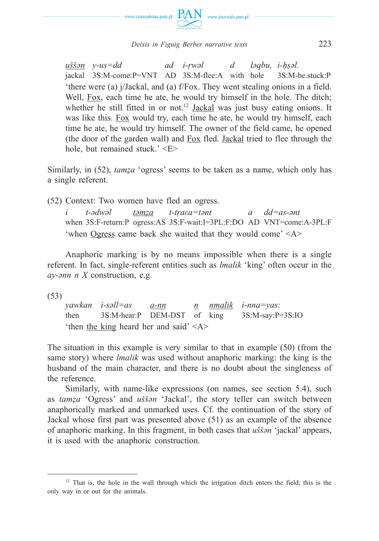

*uššən y-us=dd ad i-ṛwəl dləqbu, i-ḥṣəl.* jackal 3S:M-come:P=VNT AD 3S:M-flee:A with hole 3S:M-be.stuck:P 'there were (a) j/Jackal, and (a) f/Fox. They went stealing onions in a field. Well, Fox, each time he ate, he would try himself in the hole. The ditch; whether he still fitted in or not.<sup>12</sup> Jackal was just busy eating onions. It was like this. Fox would try, each time he ate, he would try himself, each time he ate, he would try himself. The owner of the field came, he opened (the door of the garden wall) and Fox fled. Jackal tried to flee through the hole, but remained stuck.' <E>

Similarly, in (52), *tamẓa* 'ogress' seems to be taken as a name, which only has a single referent.

(52) Context: Two women have fled an ogress.

*i t-ədwəl təmẓa t-tṛ aεa=tənt a dd=as-ənt* when 3S:F-return:P ogress:AS 3S:F-wait:I=3PL:F:DO AD VNT=come:A-3PL:F 'when Ogress came back she waited that they would come' <A>

Anaphoric marking is by no means impossible when there is a single referent. In fact, single-referent entities such as *lmalik* 'king' often occur in the *ay-ənn n X* construction, e.g.

(53)

*yawkan i-səll=as a-nn n nmalik i-nna=yas:* then 3S:M-hear:P DEM-DST of king 3S:M-say:P=3S:IO 'then the king heard her and said' <A>

The situation in this example is very similar to that in example (50) (from the same story) where *lmalik* was used without anaphoric marking: the king is the husband of the main character, and there is no doubt about the singleness of the reference.

Similarly, with name-like expressions (on names, see section 5.4), such as *tamẓa* 'Ogress' and *uššən* 'Jackal', the story teller can switch between anaphorically marked and unmarked uses. Cf. the continuation of the story of Jackal whose first part was presented above (51) as an example of the absence of anaphoric marking. In this fragment, in both cases that *uššən* 'jackal' appears, it is used with the anaphoric construction.

<sup>&</sup>lt;sup>12</sup> That is, the hole in the wall through which the irrigation ditch enters the field; this is the only way in or out for the animals.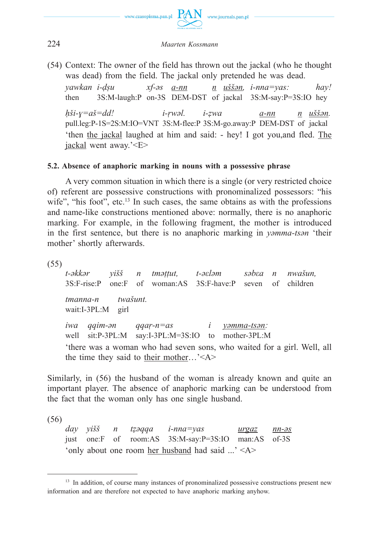

(54) Context: The owner of the field has thrown out the jackal (who he thought was dead) from the field. The jackal only pretended he was dead.

*yawkan i-ḍṣu xf-əs a-nn n uššən, i-nna=yas: hay!* then 3S:M-laugh:P on-3S DEM-DST of jackal 3S:M-say:P=3S:IO hey *ḥši-ɣ=aš=dd! i-ṛwəl. i-ẓwa a-nn n uššən.* pull.leg:P-1S=2S:M:IO=VNT 3S:M-flee:P 3S:M-go.away:P DEM-DST of jackal 'then the jackal laughed at him and said: - hey! I got you,and fled. The jackal went away.'<E>

### **5.2. Absence of anaphoric marking in nouns with a possessive phrase**

A very common situation in which there is a single (or very restricted choice of) referent are possessive constructions with pronominalized possessors: "his wife", "his foot", etc.<sup>13</sup> In such cases, the same obtains as with the professions and name-like constructions mentioned above: normally, there is no anaphoric marking. For example, in the following fragment, the mother is introduced in the first sentence, but there is no anaphoric marking in *yəmma-tsən* 'their mother' shortly afterwards.

 $(55)$ <br>t-əkkər *t-əkkər yišš n tməṭṭut, t-əεləm səbεa n nwašun,* 3S:F-rise:P one:F of woman:AS 3S:F-have:P seven of children *tmanna-n twašunt.* wait:I-3PL:M girl *iwa qqim-ən qqaṛ-n=as i yəmma-tsən:* well sit:P-3PL:M say:I-3PL:M=3S:IO to mother-3PL:M 'there was a woman who had seven sons, who waited for a girl. Well, all the time they said to their mother…'<A>

Similarly, in (56) the husband of the woman is already known and quite an important player. The absence of anaphoric marking can be understood from the fact that the woman only has one single husband.

(56)

*day yišš n tẓəqqa i-nna=yas urgaz nn-əs* just one:F of room:AS 3S:M-say:P=3S:IO man:AS of-3S 'only about one room her husband had said ...' <A>

<sup>&</sup>lt;sup>13</sup> In addition, of course many instances of pronominalized possessive constructions present new information and are therefore not expected to have anaphoric marking anyhow.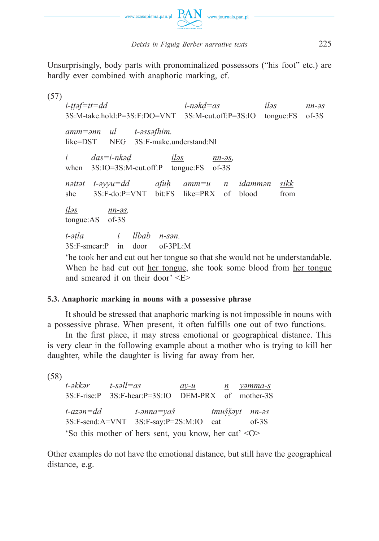

Unsurprisingly, body parts with pronominalized possessors ("his foot" etc.) are hardly ever combined with anaphoric marking, cf.

(57) *i-ṭṭəf=tt=dd i-nəkḍ=as iləs nn-əs* 3S:M-take.hold:P=3S:F:DO=VNT 3S:M-cut.off:P=3S:IO tongue:FS of-3S *amm=ənn ul t-əssəfhim.* like=DST NEG 3S:F-make.understand:NI *i das=i-nkəḍ iləs nn-əs,* when 3S:IO=3S:M-cut.off:P tongue:FS of-3S *nəttət t-əyyu=dd afuḥ amm=u n idammən sikk* she 3S:F-do:P=VNT bit:FS like=PRX of blood from *iləs nn-əs,* tongue:AS of-3S *t-əṭla i llbab n-sən.* 3S:F-smear:P in door of-3PL:M

 'he took her and cut out her tongue so that she would not be understandable. When he had cut out her tongue, she took some blood from her tongue and smeared it on their door' <E>

## **5.3. Anaphoric marking in nouns with a possessive phrase**

It should be stressed that anaphoric marking is not impossible in nouns with a possessive phrase. When present, it often fulfills one out of two functions.

In the first place, it may stress emotional or geographical distance. This is very clear in the following example about a mother who is trying to kill her daughter, while the daughter is living far away from her.

```
(58)
```
*t-əkkər t-səll=as ay-u n yəmma-s* 3S:F-rise:P 3S:F-hear:P=3S:IO DEM-PRX of mother-3S *t-azən=dd t-ənna=yaš tmušṣ̌ ə̣ yt nn-əs* 3S:F-send:A=VNT 3S:F-say:P=2S:M:IO cat of-3S 'So this mother of hers sent, you know, her cat' <O>

Other examples do not have the emotional distance, but still have the geographical distance, e.g.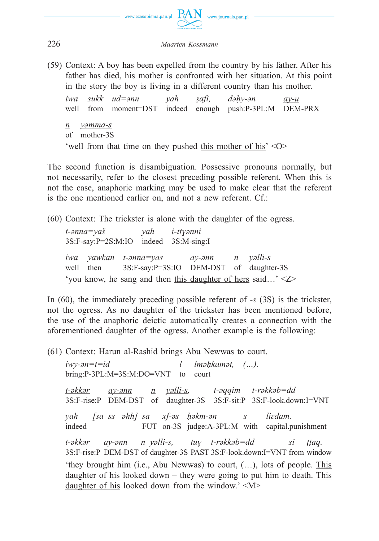

(59) Context: A boy has been expelled from the country by his father. After his father has died, his mother is confronted with her situation. At this point in the story the boy is living in a different country than his mother.

*iwa sukk ud=ənn yah ṣafi, dəḥy-ən ay-u* well from moment=DST indeed enough push:P-3PL:M DEM-PRX *n yəmma-s* of mother-3S 'well from that time on they pushed this mother of his' <O>

The second function is disambiguation. Possessive pronouns normally, but not necessarily, refer to the closest preceding possible referent. When this is not the case, anaphoric marking may be used to make clear that the referent is the one mentioned earlier on, and not a new referent. Cf.:

(60) Context: The trickster is alone with the daughter of the ogress.

*t-ənna=yaš yah i-ttɣənni* 3S:F-say:P=2S:M:IO indeed 3S:M-sing:I *iwa yawkan t-ənna=yas ay-ənn n yəlli-s* well then 3S:F-say:P=3S:IO DEM-DST of daughter-3S 'you know, he sang and then this daughter of hers said…' <Z>

In (60), the immediately preceding possible referent of *-s* (3S) is the trickster, not the ogress. As no daughter of the trickster has been mentioned before, the use of the anaphoric deictic automatically creates a connection with the aforementioned daughter of the ogress. Another example is the following:

(61) Context: Harun al-Rashid brings Abu Newwas to court.

*iwy-ən=t=id l lməḥkamət, (…).* bring:P-3PL:M=3S:M:DO=VNT to court *t-əkkər ay-ənn n yəlli-s, t-əqqim t-rəkkəb=dd* 3S:F-rise:P DEM-DST of daughter-3S 3S:F-sit:P 3S:F-look.down:I=VNT *yah [sa ss əhh] sa xf-əs ḥəkm-ən s liɛdam.* indeed FUT on-3S judge:A-3PL:M with capital.punishment *t-əkkər ay-ənn n yəlli-s, tuɣ t-rəkkəb=dd si ṭṭaq.* 3S:F-rise:P DEM-DST of daughter-3S PAST 3S:F-look.down:I=VNT from window 'they brought him (i.e., Abu Newwas) to court, (…), lots of people. This daughter of his looked down – they were going to put him to death. This daughter of his looked down from the window.' <M>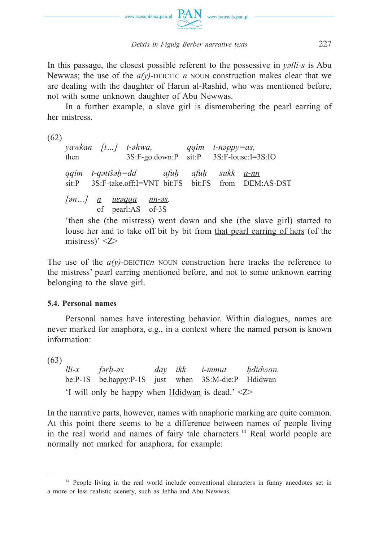

In this passage, the closest possible referent to the possessive in *yəlli-s* is Abu Newwas; the use of the  $a(y)$ -DEICTIC *n* NOUN construction makes clear that we are dealing with the daughter of Harun al-Rashid, who was mentioned before, not with some unknown daughter of Abu Newwas.

In a further example, a slave girl is dismembering the pearl earring of her mistress.

(62)

*yawkan [t…] t-əhwa, qqim t-nəppy=as,* then 3S:F-go.down:P sit:P 3S:F-louse:I=3S:IO *qqim t-qəttšəḥ=dd afuḥ afuḥ sukk u-nn* sit:P 3S:F-take.off:I=VNT bit:FS bit:FS from DEM:AS-DST *[ən…] n uɛəqqa nn-əs.* of pearl:AS of-3S

 'then she (the mistress) went down and she (the slave girl) started to louse her and to take off bit by bit from that pearl earring of hers (of the mistress)' <Z>

The use of the  $a(y)$ -DEICTIC<sub>n</sub> NOUN construction here tracks the reference to the mistress' pearl earring mentioned before, and not to some unknown earring belonging to the slave girl.

### **5.4. Personal names**

Personal names have interesting behavior. Within dialogues, names are never marked for anaphora, e.g., in a context where the named person is known information:

(63)

*lli-x fəṛḥ-əx day ikk i-mmut ḥdidwan.* be:P-1S be.happy:P-1S just when 3S:M-die:P Hdidwan 'I will only be happy when Hdidwan is dead.' <Z>

In the narrative parts, however, names with anaphoric marking are quite common. At this point there seems to be a difference between names of people living in the real world and names of fairy tale characters.14 Real world people are normally not marked for anaphora, for example:

<sup>&</sup>lt;sup>14</sup> People living in the real world include conventional characters in funny anecdotes set in a more or less realistic scenery, such as Jehha and Abu Newwas.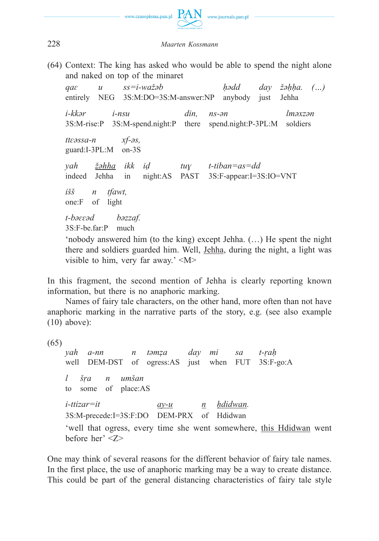

(64) Context: The king has asked who would be able to spend the night alone and naked on top of the minaret

*qaɛ u ss=i-wažəb ḥədd day žəḥḥa. (…)* entirely NEG 3S:M:DO=3S:M-answer:NP anybody just Jehha *i-kkər i-nsu din, ns-ən lməxzən* 3S:M-rise:P 3S:M-spend.night:P there spend.night:P-3PL:M soldiers *ttɛəssa-n xf-əs,* guard:I-3PL:M on-3S *yah žəḥḥa ikk iḍ tuɣ t-tiban=as=dd* indeed Jehha in night:AS PAST 3S:F-appear:I=3S:IO=VNT *išš n tfawt,* one:F of light *t-bəɛɛəd bəzzaf.* 3S:F-be.far:P much 'nobody answered him (to the king) except Jehha. (…) He spent the night there and soldiers guarded him. Well, Jehha, during the night, a light was

visible to him, very far away.' <M>

In this fragment, the second mention of Jehha is clearly reporting known information, but there is no anaphoric marking.

Names of fairy tale characters, on the other hand, more often than not have anaphoric marking in the narrative parts of the story, e.g. (see also example (10) above):

(65)

*yah a-nn n təmẓa day mi sa t-ṛaḥ* well DEM-DST of ogress:AS just when FUT 3S:F-go:A *l šṛa n umšan* to some of place:AS *i*-ttizar=it *ay-u n hdidwan.* 3S:M-precede:I=3S:F:DO DEM-PRX of Hdidwan 'well that ogress, every time she went somewhere, this Hdidwan went before her' <Z>

One may think of several reasons for the different behavior of fairy tale names. In the first place, the use of anaphoric marking may be a way to create distance. This could be part of the general distancing characteristics of fairy tale style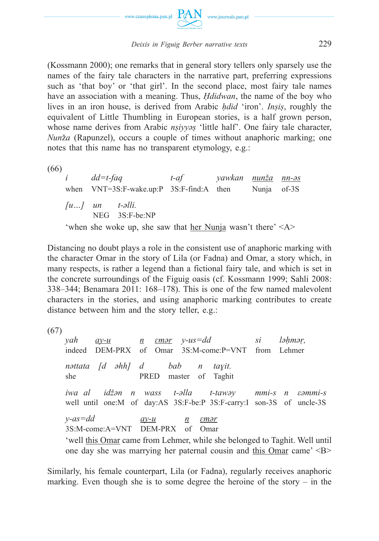

(Kossmann 2000); one remarks that in general story tellers only sparsely use the names of the fairy tale characters in the narrative part, preferring expressions such as 'that boy' or 'that girl'. In the second place, most fairy tale names have an association with a meaning. Thus, *Ḥdidwan*, the name of the boy who lives in an iron house, is derived from Arabic *ḥdid* 'iron'. *Inṣiṣ*, roughly the equivalent of Little Thumbling in European stories, is a half grown person, whose name derives from Arabic *nṣiyyəṣ* 'little half'. One fairy tale character, *Nun*ž*a* (Rapunzel), occurs a couple of times without anaphoric marking; one notes that this name has no transparent etymology, e.g.:

(66)

*i dd=t-faq t-af yawkan nunža nn-əs* when VNT=3S:F-wake.up:P 3S:F-find:A then Nunja of-3S *[u…] un t-əlli.* NEG 3S:F-be:NP 'when she woke up, she saw that her Nunja wasn't there' <A>

Distancing no doubt plays a role in the consistent use of anaphoric marking with the character Omar in the story of Lila (or Fadna) and Omar, a story which, in many respects, is rather a legend than a fictional fairy tale, and which is set in the concrete surroundings of the Figuig oasis (cf. Kossmann 1999; Sahli 2008: 338–344; Benamara 2011: 168–178). This is one of the few named malevolent characters in the stories, and using anaphoric marking contributes to create distance between him and the story teller, e.g.:

(67)

*yah ay-u n ɛməṛ y-us=dd si ləḥməṛ,* indeed DEM-PRX of Omar 3S:M-come:P=VNT from Lehmer *nəttata [d əhh] d bab n taɣit.* she PRED master of Taghit *iwa al idžən n wass t-əlla t-tawəy mmi-s n εəmmi-s* well until one:M of day:AS 3S:F-be:P 3S:F-carry:I son-3S of uncle-3S *y-as=dd ay-u n ɛməṛ* 3S:M-come:A=VNT DEM-PRX of Omar 'well this Omar came from Lehmer, while she belonged to Taghit. Well until one day she was marrying her paternal cousin and this Omar came' <B>

Similarly, his female counterpart, Lila (or Fadna), regularly receives anaphoric marking. Even though she is to some degree the heroine of the story  $-$  in the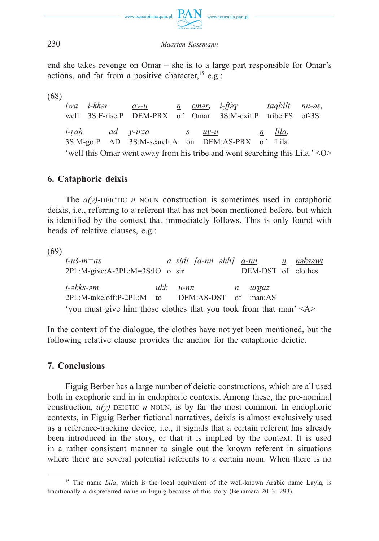

end she takes revenge on Omar – she is to a large part responsible for Omar's actions, and far from a positive character,  $15$  e.g.:

(68)

*iwa i-kkər ay-u n ɛməṛ, i-ffəɣ taqbilt nn-əs,* well 3S:F-rise:P DEM-PRX of Omar 3S:M-exit:P tribe:FS of-3S *i-ṛaḥ ad y-irza s uy-u n lila.* 3S:M-go:P AD 3S:M-search:A on DEM:AS-PRX of Lila 'well this Omar went away from his tribe and went searching this Lila.' <O>

# **6. Cataphoric deixis**

The *a(y)*-DEICTIC *n* NOUN construction is sometimes used in cataphoric deixis, i.e., referring to a referent that has not been mentioned before, but which is identified by the context that immediately follows. This is only found with heads of relative clauses, e.g.:

 $(69)$ <br>t-uš-m=as *t-uš-m=as a sidi [a-nn əhh] a-nn n nəksəwt* 2PL:M-give:A-2PL:M=3S:IO o sir DEM-DST of clothes *t-əkks-əm ukk u-nn n urgaz* 2PL:M-take.off:P-2PL:M to DEM:AS-DST of man:AS 'you must give him those clothes that you took from that man' <A>

In the context of the dialogue, the clothes have not yet been mentioned, but the following relative clause provides the anchor for the cataphoric deictic.

# **7. Conclusions**

Figuig Berber has a large number of deictic constructions, which are all used both in exophoric and in in endophoric contexts. Among these, the pre-nominal construction,  $a(v)$ -DEICTIC *n* NOUN, is by far the most common. In endophoric contexts, in Figuig Berber fictional narratives, deixis is almost exclusively used as a reference-tracking device, i.e., it signals that a certain referent has already been introduced in the story, or that it is implied by the context. It is used in a rather consistent manner to single out the known referent in situations where there are several potential referents to a certain noun. When there is no

<sup>&</sup>lt;sup>15</sup> The name *Lila*, which is the local equivalent of the well-known Arabic name Layla, is traditionally a dispreferred name in Figuig because of this story (Benamara 2013: 293).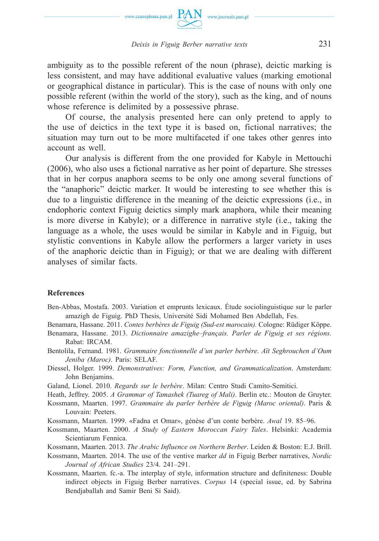

ambiguity as to the possible referent of the noun (phrase), deictic marking is less consistent, and may have additional evaluative values (marking emotional or geographical distance in particular). This is the case of nouns with only one possible referent (within the world of the story), such as the king, and of nouns whose reference is delimited by a possessive phrase.

Of course, the analysis presented here can only pretend to apply to the use of deictics in the text type it is based on, fictional narratives; the situation may turn out to be more multifaceted if one takes other genres into account as well.

Our analysis is different from the one provided for Kabyle in Mettouchi (2006), who also uses a fictional narrative as her point of departure. She stresses that in her corpus anaphora seems to be only one among several functions of the "anaphoric" deictic marker. It would be interesting to see whether this is due to a linguistic difference in the meaning of the deictic expressions (i.e., in endophoric context Figuig deictics simply mark anaphora, while their meaning is more diverse in Kabyle); or a difference in narrative style (i.e., taking the language as a whole, the uses would be similar in Kabyle and in Figuig, but stylistic conventions in Kabyle allow the performers a larger variety in uses of the anaphoric deictic than in Figuig); or that we are dealing with different analyses of similar facts.

#### **References**

Ben-Abbas, Mostafa. 2003. Variation et emprunts lexicaux. Étude sociolinguistique sur le parler amazigh de Figuig. PhD Thesis, Université Sidi Mohamed Ben Abdellah, Fes.

Benamara, Hassane. 2011. *Contes berbères de Figuig (Sud-est marocain).* Cologne: Rüdiger Köppe.

- Benamara, Hassane. 2013. *Dictionnaire amazighe–français. Parler de Figuig et ses régions.* Rabat: IRCAM.
- Bentolila, Fernand. 1981. *Grammaire fonctionnelle d'un parler berbère*. *Aït Seghrouchen d'Oum Jeniba (Maroc)*. Paris: SELAF.
- Diessel, Holger. 1999. *Demonstratives: Form, Function, and Grammaticalization*. Amsterdam: John Benjamins.

Galand, Lionel. 2010. *Regards sur le berbère*. Milan: Centro Studi Camito-Semitici.

Heath, Jeffrey. 2005. *A Grammar of Tamashek (Tuareg of Mali)*. Berlin etc.: Mouton de Gruyter.

- Kossmann, Maarten. 1997. *Grammaire du parler berbère de Figuig (Maroc oriental)*. Paris & Louvain: Peeters.
- Kossmann, Maarten. 1999. «Fadna et Omar», génèse d'un conte berbère. *Awal* 19. 85–96.
- Kossmann, Maarten. 2000. *A Study of Eastern Moroccan Fairy Tales*. Helsinki: Academia Scientiarum Fennica.

Kossmann, Maarten. 2013. *The Arabic Influence on Northern Berber*. Leiden & Boston: E.J. Brill.

- Kossmann, Maarten. 2014. The use of the ventive marker *dd* in Figuig Berber narratives, *Nordic Journal of African Studies* 23/4. 241–291.
- Kossmann, Maarten. fc.-a. The interplay of style, information structure and definiteness: Double indirect objects in Figuig Berber narratives. *Corpus* 14 (special issue, ed. by Sabrina Bendjaballah and Samir Beni Si Said).